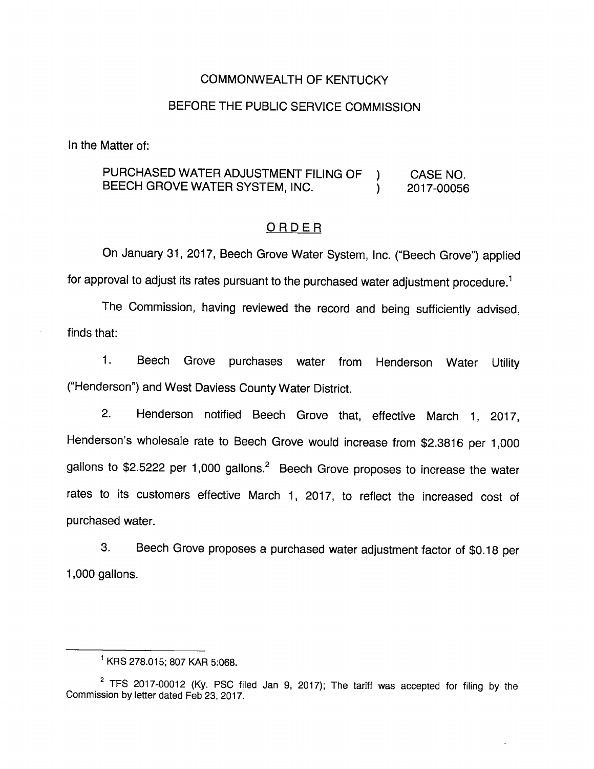### COMMONWEALTH OF KENTUCKY

# BEFORE THE PUBLIC SERVICE COMMISSION

In the Matter of:

## PURCHASED WATER ADJUSTMENT FILING OF ) CASE NO. BEECH GROVE WATER SYSTEM, INC. (2017-00056

#### ORDER

On January 31, 2017, Beech Grove Water System, Inc. ("Beech Grove") applied for approval to adjust its rates pursuant to the purchased water adjustment procedure.<sup>1</sup>

The Commission, having reviewed the record and being sufficiently advised, finds that:

1. Beech Grove purchases water from Henderson Water Utility ("Henderson") and West Daviess County Water District.

2. Henderson notified Beech Grove that, effective March 1, 2017, Henderson's wholesale rate to Beech Grove would increase from \$2.3816 per 1,000 gallons to \$2.5222 per 1,000 gallons. $^2$  Beech Grove proposes to increase the water rates to its customers effective March 1, 2017, to reflect the increased cost of purchased water.

3. Beech Grove proposes a purchased water adjustment factor of \$0.18 per 1,000 gallons.

<sup>&</sup>lt;sup>1</sup> KRS 278.015; 807 KAR 5:068.

 $2$  TFS 2017-00012 (Ky. PSC filed Jan 9, 2017); The tariff was accepted for filing by the Commission by letter dated Feb 23, 2017.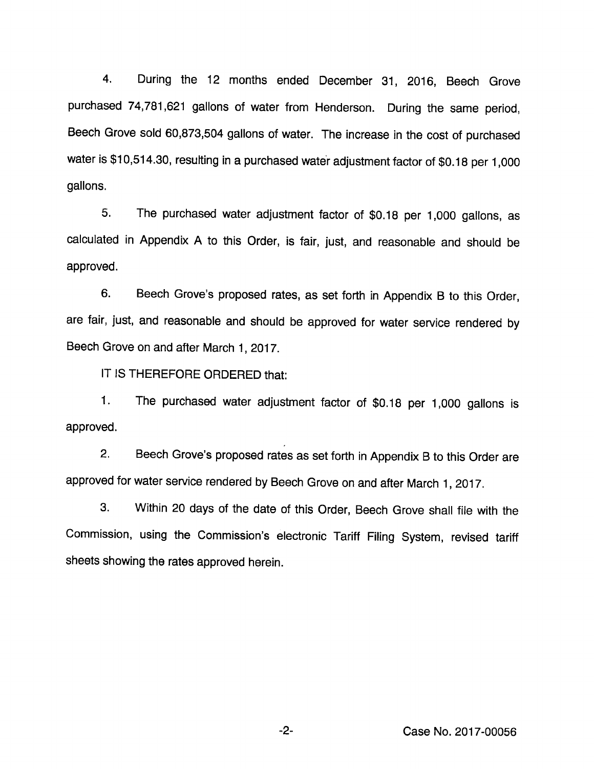4. During the 12 months ended December 31, 2016, Beech Grove purchased 74,781,621 gallons of water from Henderson. During the same period. Beech Grove sold 60,873,504 gallons of water. The increase in the cost of purchased water is \$10,514.30, resulting in a purchased water adjustment factor of \$0.18 per 1,000 gallons.

5. The purchased water adjustment factor of \$0.18 per 1,000 gallons, as calculated in Appendix A to this Order, is fair, just, and reasonable and should be approved.

6. Beech Grove's proposed rates, as set forth in Appendix B to this Order, are fair, just, and reasonable and should be approved for water service rendered by Beech Grove on and after March 1, 2017.

IT IS THEREFORE ORDERED that:

1. The purchased water adjustment factor of \$0.18 per 1,000 gallons Is approved.

2. Beech Grove's proposed rates as set forth in Appendix B to this Order are approved for water service rendered by Beech Grove on and after March 1, 2017.

3. Within 20 days of the date of this Order, Beech Grove shall file with the Commission, using the Commission's electronic Tariff Filing System, revised tariff sheets showing the rates approved herein.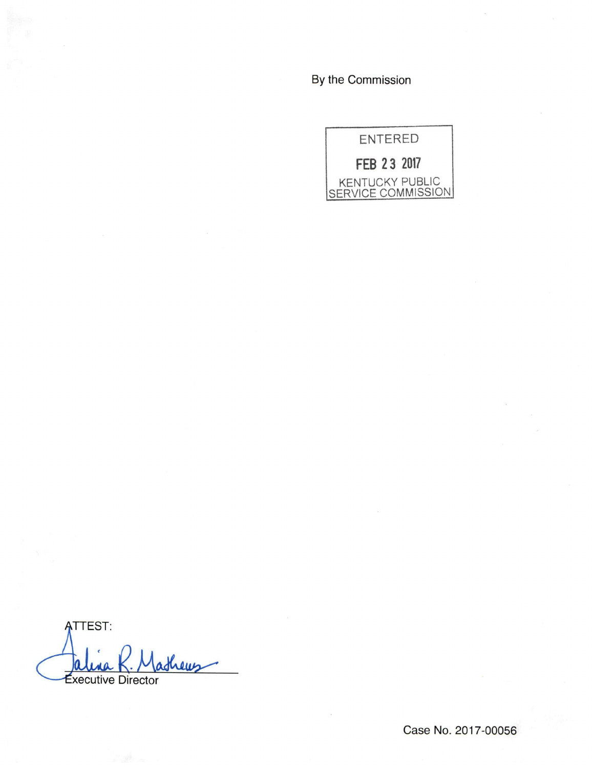By the Commission



**ATTEST:** thems **Executive Director** 

Case No. 2017-00056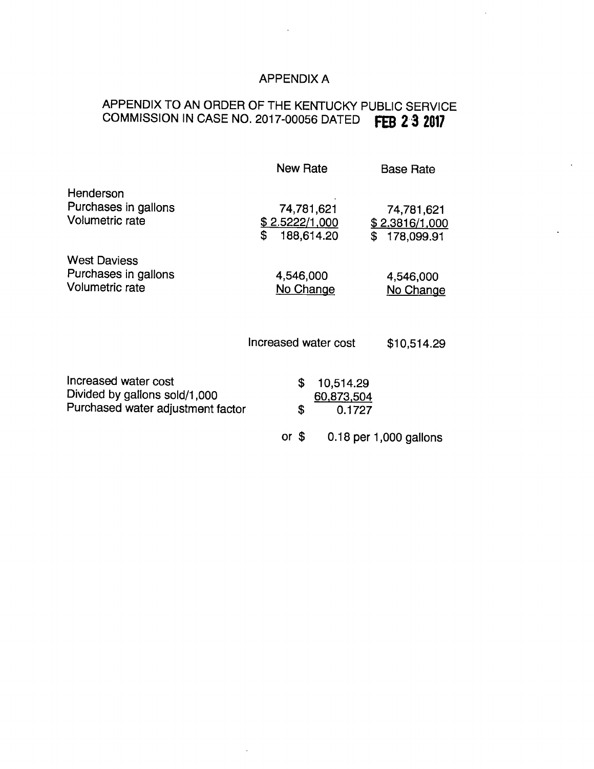# APPENDIX A

# APPENDIX TO AN ORDER OF THE KENTUCKY PUBLIC SERVICE COMMISSION IN CASE NO. 2017-00056 DATED FEB 2-3 2017

|                                                                                            | <b>New Rate</b>                                         | <b>Base Rate</b>                                 |
|--------------------------------------------------------------------------------------------|---------------------------------------------------------|--------------------------------------------------|
| Henderson<br>Purchases in gallons<br><b>Volumetric rate</b>                                | 74,781,621<br><u>\$2.5222/1,000</u><br>\$<br>188,614.20 | 74,781,621<br>\$2.3816/1,000<br>\$<br>178,099.91 |
| <b>West Daviess</b><br>Purchases in gallons<br><b>Volumetric rate</b>                      | 4,546,000<br>No Change                                  | 4,546,000<br>No Change                           |
|                                                                                            | Increased water cost                                    | \$10,514.29                                      |
| Increased water cost<br>Divided by gallons sold/1,000<br>Purchased water adjustment factor | \$<br>10,514.29<br>60,873,504<br>\$<br>0.1727           |                                                  |
|                                                                                            | S<br>or                                                 | $0.18$ per 1,000 gallons                         |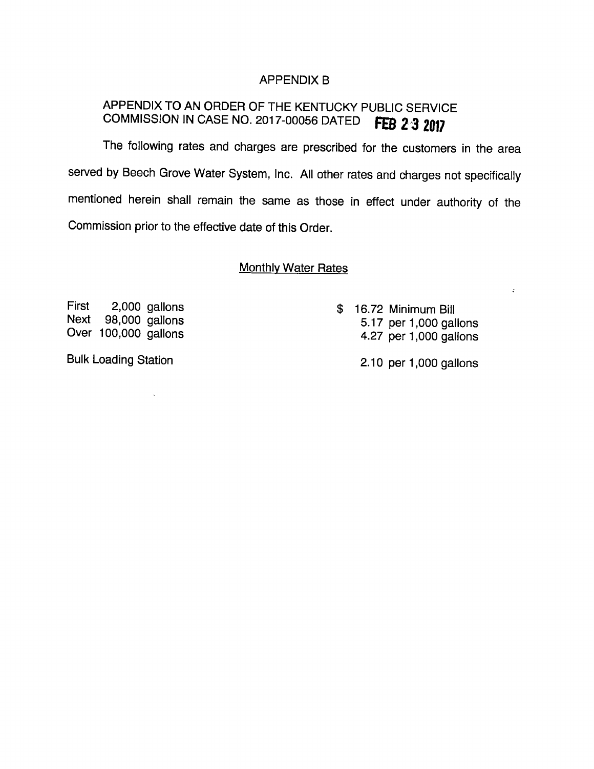### APPENDIX B

# APPENDIX TO AN ORDER OF THE KENTUCKY PUBLIC SERVICE COMMISSION IN CASE NO. 2017-00056 DATED **FEB 2 3 2017**

The following rates and charges are prescribed for the customers in the area served by Beech Grove Water System, Inc. All other rates and charges not specifically mentioned herein shall remain the same as those in effect under authority of the Commission prior to the effective date of this Order.

**Monthly Water Rates** 

First 2,000 gallons \$ 16.72 Minimum Bill

Next 98,000 gallons 5.17 per 1,000 gallons Over 100,000 gallons 4.27 per 1,000 gallons

Bulk Loading Station 2.10 per 1,000 gallons

 $\ddot{\cdot}$